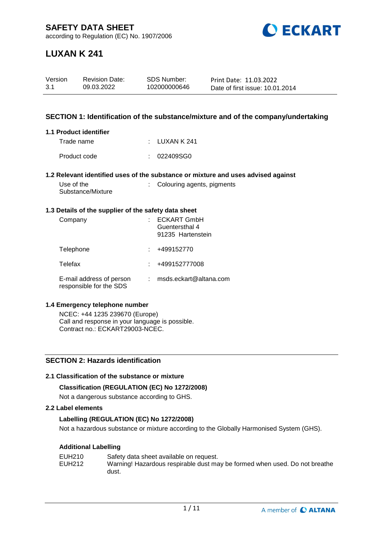

# **LUXAN K 241**

| Version | <b>Revision Date:</b> | SDS Number:  | Print Date: 11.03.2022          |
|---------|-----------------------|--------------|---------------------------------|
| -3.1    | 09.03.2022            | 102000000646 | Date of first issue: 10.01.2014 |

### **SECTION 1: Identification of the substance/mixture and of the company/undertaking**

#### **1.1 Product identifier**

| Trade name   | : LUXAN K 241 |
|--------------|---------------|
| Product code | : 022409SGO   |

#### **1.2 Relevant identified uses of the substance or mixture and uses advised against**

| Use of the        |  |
|-------------------|--|
| Substance/Mixture |  |

: Colouring agents, pigments

#### **1.3 Details of the supplier of the safety data sheet**

| Company                                             | <b>ECKART GmbH</b><br>Guentersthal 4<br>91235 Hartenstein |
|-----------------------------------------------------|-----------------------------------------------------------|
| Telephone                                           | +499152770                                                |
| Telefax                                             | +499152777008                                             |
| E-mail address of person<br>responsible for the SDS | msds.eckart@altana.com                                    |

#### **1.4 Emergency telephone number**

NCEC: +44 1235 239670 (Europe) Call and response in your language is possible. Contract no.: ECKART29003-NCEC.

# **SECTION 2: Hazards identification**

# **2.1 Classification of the substance or mixture**

# **Classification (REGULATION (EC) No 1272/2008)**

Not a dangerous substance according to GHS.

### **2.2 Label elements**

# **Labelling (REGULATION (EC) No 1272/2008)**

Not a hazardous substance or mixture according to the Globally Harmonised System (GHS).

# **Additional Labelling**

| EUH210 | Safety data sheet available on request.                                    |
|--------|----------------------------------------------------------------------------|
| EUH212 | Warning! Hazardous respirable dust may be formed when used. Do not breathe |
|        | dust.                                                                      |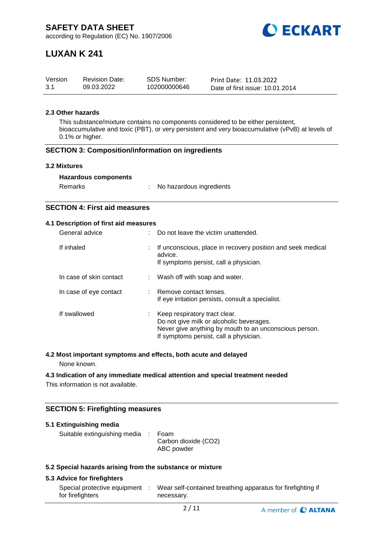

# **LUXAN K 241**

| Version | <b>Revision Date:</b> | <b>SDS Number:</b> | Print Date: 11.03.2022          |
|---------|-----------------------|--------------------|---------------------------------|
| 3.1     | 09.03.2022            | 102000000646       | Date of first issue: 10.01.2014 |

# **2.3 Other hazards**

This substance/mixture contains no components considered to be either persistent, bioaccumulative and toxic (PBT), or very persistent and very bioaccumulative (vPvB) at levels of 0.1% or higher.

#### **SECTION 3: Composition/information on ingredients**

#### **3.2 Mixtures**

| Remarks | No hazardous ingredients |
|---------|--------------------------|
|---------|--------------------------|

# **SECTION 4: First aid measures**

#### **4.1 Description of first aid measures**

| General advice          |    | Do not leave the victim unattended.                                                                                                                                           |
|-------------------------|----|-------------------------------------------------------------------------------------------------------------------------------------------------------------------------------|
| If inhaled              | ÷. | If unconscious, place in recovery position and seek medical<br>advice.<br>If symptoms persist, call a physician.                                                              |
| In case of skin contact |    | : Wash off with soap and water.                                                                                                                                               |
| In case of eye contact  |    | : Remove contact lenses.<br>If eye irritation persists, consult a specialist.                                                                                                 |
| If swallowed            |    | Keep respiratory tract clear.<br>Do not give milk or alcoholic beverages.<br>Never give anything by mouth to an unconscious person.<br>If symptoms persist, call a physician. |

# **4.2 Most important symptoms and effects, both acute and delayed**

None known.

#### **4.3 Indication of any immediate medical attention and special treatment needed**

This information is not available.

# **SECTION 5: Firefighting measures**

| 5.1 Extinguishing media                                   |  |                                            |  |  |  |
|-----------------------------------------------------------|--|--------------------------------------------|--|--|--|
| Suitable extinguishing media :                            |  | Foam<br>Carbon dioxide (CO2)<br>ABC powder |  |  |  |
| 5.3 Coopial horardo origina from the qubetaneo or mivture |  |                                            |  |  |  |

#### **5.2 Special hazards arising from the substance or mixture**

### **5.3 Advice for firefighters**

| Special protective equipment | Wear self-contained breathing apparatus for firefighting if |
|------------------------------|-------------------------------------------------------------|
| for firefighters             | necessary.                                                  |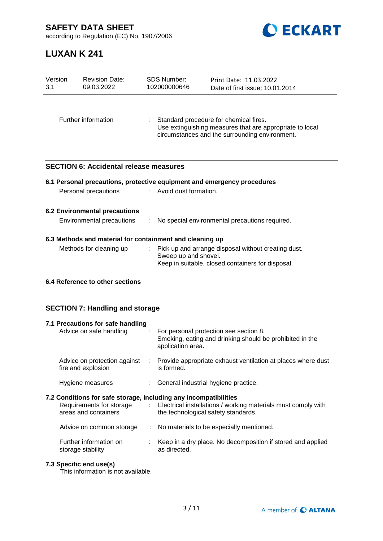**SAFETY DATA SHEET**



according to Regulation (EC) No. 1907/2006

# **LUXAN K 241**

| Version<br>3.1                                                    | <b>Revision Date:</b><br>09.03.2022           |  | <b>SDS Number:</b><br>102000000646                                                                                                                   | Print Date: 11.03.2022<br>Date of first issue: 10.01.2014                                                |  |  |
|-------------------------------------------------------------------|-----------------------------------------------|--|------------------------------------------------------------------------------------------------------------------------------------------------------|----------------------------------------------------------------------------------------------------------|--|--|
| Further information                                               |                                               |  | Standard procedure for chemical fires.<br>Use extinguishing measures that are appropriate to local<br>circumstances and the surrounding environment. |                                                                                                          |  |  |
|                                                                   | <b>SECTION 6: Accidental release measures</b> |  |                                                                                                                                                      |                                                                                                          |  |  |
|                                                                   |                                               |  |                                                                                                                                                      | 6.1 Personal precautions, protective equipment and emergency procedures                                  |  |  |
|                                                                   | Personal precautions                          |  | : Avoid dust formation.                                                                                                                              |                                                                                                          |  |  |
| <b>6.2 Environmental precautions</b><br>Environmental precautions |                                               |  |                                                                                                                                                      | No special environmental precautions required.                                                           |  |  |
| 6.3 Methods and material for containment and cleaning up          |                                               |  |                                                                                                                                                      |                                                                                                          |  |  |
|                                                                   | Methods for cleaning up                       |  | Sweep up and shovel.                                                                                                                                 | Pick up and arrange disposal without creating dust.<br>Keep in suitable, closed containers for disposal. |  |  |
|                                                                   | 6.4 Reference to other sections               |  |                                                                                                                                                      |                                                                                                          |  |  |

# **SECTION 7: Handling and storage**

| 7.1 Precautions for safe handling<br>Advice on safe handling                                                         | : For personal protection see section 8.<br>Smoking, eating and drinking should be prohibited in the<br>application area. |
|----------------------------------------------------------------------------------------------------------------------|---------------------------------------------------------------------------------------------------------------------------|
| Advice on protection against :<br>fire and explosion                                                                 | Provide appropriate exhaust ventilation at places where dust<br>is formed.                                                |
| Hygiene measures                                                                                                     | : General industrial hygiene practice.                                                                                    |
| 7.2 Conditions for safe storage, including any incompatibilities<br>Requirements for storage<br>areas and containers | : Electrical installations / working materials must comply with<br>the technological safety standards.                    |
| Advice on common storage                                                                                             | : No materials to be especially mentioned.                                                                                |
| Further information on<br>storage stability                                                                          | Keep in a dry place. No decomposition if stored and applied<br>as directed.                                               |

# **7.3 Specific end use(s)**

This information is not available.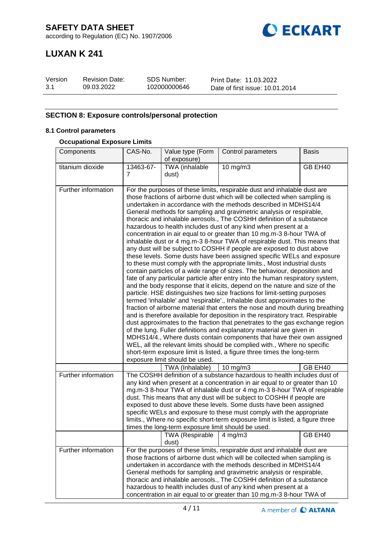

# **LUXAN K 241**

| Version | <b>Revision Date:</b> | <b>SDS Number:</b> | Print Date: 11.03.2022          |
|---------|-----------------------|--------------------|---------------------------------|
| 3.1     | 09.03.2022            | 102000000646       | Date of first issue: 10.01.2014 |

# **SECTION 8: Exposure controls/personal protection**

# **8.1 Control parameters**

### **Occupational Exposure Limits**

| Components          | CAS-No.                                                                                                                                                                                                                                                                                                                                                                                                                                                                                                                                                                                                                                                                                                                                                                                                                                                                                                                                                                                                                                                                                                                                                                                                                                                                                                                                                                                                                                                                                                                                                                                                                                                                                                                                                                                                                                 | Value type (Form                                   | Control parameters                                                                                                                                                                                                                                                                                                                                                                                                                                                                                                                          | <b>Basis</b> |
|---------------------|-----------------------------------------------------------------------------------------------------------------------------------------------------------------------------------------------------------------------------------------------------------------------------------------------------------------------------------------------------------------------------------------------------------------------------------------------------------------------------------------------------------------------------------------------------------------------------------------------------------------------------------------------------------------------------------------------------------------------------------------------------------------------------------------------------------------------------------------------------------------------------------------------------------------------------------------------------------------------------------------------------------------------------------------------------------------------------------------------------------------------------------------------------------------------------------------------------------------------------------------------------------------------------------------------------------------------------------------------------------------------------------------------------------------------------------------------------------------------------------------------------------------------------------------------------------------------------------------------------------------------------------------------------------------------------------------------------------------------------------------------------------------------------------------------------------------------------------------|----------------------------------------------------|---------------------------------------------------------------------------------------------------------------------------------------------------------------------------------------------------------------------------------------------------------------------------------------------------------------------------------------------------------------------------------------------------------------------------------------------------------------------------------------------------------------------------------------------|--------------|
|                     |                                                                                                                                                                                                                                                                                                                                                                                                                                                                                                                                                                                                                                                                                                                                                                                                                                                                                                                                                                                                                                                                                                                                                                                                                                                                                                                                                                                                                                                                                                                                                                                                                                                                                                                                                                                                                                         | of exposure)                                       |                                                                                                                                                                                                                                                                                                                                                                                                                                                                                                                                             |              |
| titanium dioxide    | 13463-67-<br>7                                                                                                                                                                                                                                                                                                                                                                                                                                                                                                                                                                                                                                                                                                                                                                                                                                                                                                                                                                                                                                                                                                                                                                                                                                                                                                                                                                                                                                                                                                                                                                                                                                                                                                                                                                                                                          | TWA (inhalable<br>dust)                            | $10$ mg/m $3$                                                                                                                                                                                                                                                                                                                                                                                                                                                                                                                               | GB EH40      |
|                     |                                                                                                                                                                                                                                                                                                                                                                                                                                                                                                                                                                                                                                                                                                                                                                                                                                                                                                                                                                                                                                                                                                                                                                                                                                                                                                                                                                                                                                                                                                                                                                                                                                                                                                                                                                                                                                         |                                                    |                                                                                                                                                                                                                                                                                                                                                                                                                                                                                                                                             |              |
| Further information | For the purposes of these limits, respirable dust and inhalable dust are<br>those fractions of airborne dust which will be collected when sampling is<br>undertaken in accordance with the methods described in MDHS14/4<br>General methods for sampling and gravimetric analysis or respirable,<br>thoracic and inhalable aerosols., The COSHH definition of a substance<br>hazardous to health includes dust of any kind when present at a<br>concentration in air equal to or greater than 10 mg.m-3 8-hour TWA of<br>inhalable dust or 4 mg.m-3 8-hour TWA of respirable dust. This means that<br>any dust will be subject to COSHH if people are exposed to dust above<br>these levels. Some dusts have been assigned specific WELs and exposure<br>to these must comply with the appropriate limits., Most industrial dusts<br>contain particles of a wide range of sizes. The behaviour, deposition and<br>fate of any particular particle after entry into the human respiratory system,<br>and the body response that it elicits, depend on the nature and size of the<br>particle. HSE distinguishes two size fractions for limit-setting purposes<br>termed 'inhalable' and 'respirable'., Inhalable dust approximates to the<br>fraction of airborne material that enters the nose and mouth during breathing<br>and is therefore available for deposition in the respiratory tract. Respirable<br>dust approximates to the fraction that penetrates to the gas exchange region<br>of the lung. Fuller definitions and explanatory material are given in<br>MDHS14/4., Where dusts contain components that have their own assigned<br>WEL, all the relevant limits should be complied with., Where no specific<br>short-term exposure limit is listed, a figure three times the long-term<br>exposure limit should be used. |                                                    |                                                                                                                                                                                                                                                                                                                                                                                                                                                                                                                                             |              |
|                     |                                                                                                                                                                                                                                                                                                                                                                                                                                                                                                                                                                                                                                                                                                                                                                                                                                                                                                                                                                                                                                                                                                                                                                                                                                                                                                                                                                                                                                                                                                                                                                                                                                                                                                                                                                                                                                         | TWA (Inhalable)                                    | 10 mg/m3                                                                                                                                                                                                                                                                                                                                                                                                                                                                                                                                    | GB EH40      |
| Further information |                                                                                                                                                                                                                                                                                                                                                                                                                                                                                                                                                                                                                                                                                                                                                                                                                                                                                                                                                                                                                                                                                                                                                                                                                                                                                                                                                                                                                                                                                                                                                                                                                                                                                                                                                                                                                                         | times the long-term exposure limit should be used. | The COSHH definition of a substance hazardous to health includes dust of<br>any kind when present at a concentration in air equal to or greater than 10<br>mg.m-3 8-hour TWA of inhalable dust or 4 mg.m-3 8-hour TWA of respirable<br>dust. This means that any dust will be subject to COSHH if people are<br>exposed to dust above these levels. Some dusts have been assigned<br>specific WELs and exposure to these must comply with the appropriate<br>limits., Where no specific short-term exposure limit is listed, a figure three |              |
|                     |                                                                                                                                                                                                                                                                                                                                                                                                                                                                                                                                                                                                                                                                                                                                                                                                                                                                                                                                                                                                                                                                                                                                                                                                                                                                                                                                                                                                                                                                                                                                                                                                                                                                                                                                                                                                                                         | TWA (Respirable<br>dust)                           | $4 \,\mathrm{mg/m3}$                                                                                                                                                                                                                                                                                                                                                                                                                                                                                                                        | GB EH40      |
| Further information |                                                                                                                                                                                                                                                                                                                                                                                                                                                                                                                                                                                                                                                                                                                                                                                                                                                                                                                                                                                                                                                                                                                                                                                                                                                                                                                                                                                                                                                                                                                                                                                                                                                                                                                                                                                                                                         |                                                    | For the purposes of these limits, respirable dust and inhalable dust are<br>those fractions of airborne dust which will be collected when sampling is<br>undertaken in accordance with the methods described in MDHS14/4<br>General methods for sampling and gravimetric analysis or respirable,<br>thoracic and inhalable aerosols., The COSHH definition of a substance<br>hazardous to health includes dust of any kind when present at a<br>concentration in air equal to or greater than 10 mg.m-3 8-hour TWA of                       |              |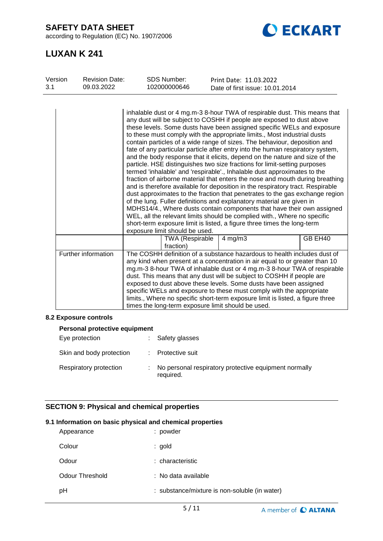**SAFETY DATA SHEET**

according to Regulation (EC) No. 1907/2006



# **LUXAN K 241**

| Version | <b>Revision Date:</b> | <b>SDS Number:</b>                                 | Print Date: 11.03.2022                                                                                                                                                                                                                                                                                                                                                                                                                                                                                                                                                                                                                                                                                                                                                                                                                                                                                                                                                                                                                                                                                                                                                                                                                                                       |         |
|---------|-----------------------|----------------------------------------------------|------------------------------------------------------------------------------------------------------------------------------------------------------------------------------------------------------------------------------------------------------------------------------------------------------------------------------------------------------------------------------------------------------------------------------------------------------------------------------------------------------------------------------------------------------------------------------------------------------------------------------------------------------------------------------------------------------------------------------------------------------------------------------------------------------------------------------------------------------------------------------------------------------------------------------------------------------------------------------------------------------------------------------------------------------------------------------------------------------------------------------------------------------------------------------------------------------------------------------------------------------------------------------|---------|
| 3.1     | 09.03.2022            | 102000000646                                       | Date of first issue: 10.01.2014                                                                                                                                                                                                                                                                                                                                                                                                                                                                                                                                                                                                                                                                                                                                                                                                                                                                                                                                                                                                                                                                                                                                                                                                                                              |         |
|         |                       | exposure limit should be used.                     | inhalable dust or 4 mg.m-3 8-hour TWA of respirable dust. This means that<br>any dust will be subject to COSHH if people are exposed to dust above<br>these levels. Some dusts have been assigned specific WELs and exposure<br>to these must comply with the appropriate limits., Most industrial dusts<br>contain particles of a wide range of sizes. The behaviour, deposition and<br>fate of any particular particle after entry into the human respiratory system,<br>and the body response that it elicits, depend on the nature and size of the<br>particle. HSE distinguishes two size fractions for limit-setting purposes<br>termed 'inhalable' and 'respirable'., Inhalable dust approximates to the<br>fraction of airborne material that enters the nose and mouth during breathing<br>and is therefore available for deposition in the respiratory tract. Respirable<br>dust approximates to the fraction that penetrates to the gas exchange region<br>of the lung. Fuller definitions and explanatory material are given in<br>MDHS14/4., Where dusts contain components that have their own assigned<br>WEL, all the relevant limits should be complied with., Where no specific<br>short-term exposure limit is listed, a figure three times the long-term |         |
|         |                       | <b>TWA (Respirable</b><br>fraction)                | $4$ mg/m $3$                                                                                                                                                                                                                                                                                                                                                                                                                                                                                                                                                                                                                                                                                                                                                                                                                                                                                                                                                                                                                                                                                                                                                                                                                                                                 | GB EH40 |
|         | Further information   | times the long-term exposure limit should be used. | The COSHH definition of a substance hazardous to health includes dust of<br>any kind when present at a concentration in air equal to or greater than 10<br>mg.m-3 8-hour TWA of inhalable dust or 4 mg.m-3 8-hour TWA of respirable<br>dust. This means that any dust will be subject to COSHH if people are<br>exposed to dust above these levels. Some dusts have been assigned<br>specific WELs and exposure to these must comply with the appropriate<br>limits., Where no specific short-term exposure limit is listed, a figure three                                                                                                                                                                                                                                                                                                                                                                                                                                                                                                                                                                                                                                                                                                                                  |         |

# **8.2 Exposure controls**

| <b>Personal protective equipment</b> |  |                                                                    |  |  |
|--------------------------------------|--|--------------------------------------------------------------------|--|--|
| Eye protection                       |  | Safety glasses                                                     |  |  |
| Skin and body protection             |  | Protective suit                                                    |  |  |
| Respiratory protection               |  | No personal respiratory protective equipment normally<br>required. |  |  |

# **SECTION 9: Physical and chemical properties**

# **9.1 Information on basic physical and chemical properties**

| Appearance      | : powder                                      |
|-----------------|-----------------------------------------------|
| Colour          | : gold                                        |
| Odour           | : characteristic                              |
| Odour Threshold | : No data available                           |
| рH              | : substance/mixture is non-soluble (in water) |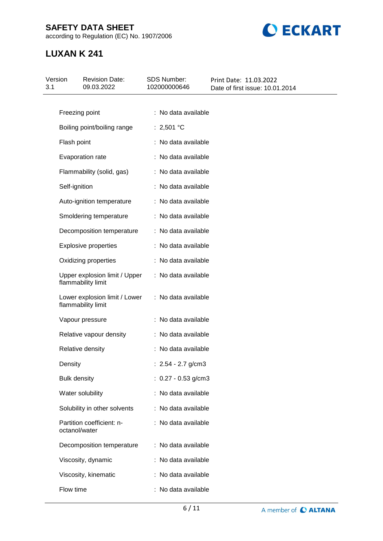# **SAFETY DATA SHEET**

according to Regulation (EC) No. 1907/2006



# **LUXAN K 241**

| Version<br>3.1 | <b>Revision Date:</b><br>09.03.2022                 | SDS Number:<br>102000000646 | Print Date: 11.03.2022<br>Date of first issue: 10.01.2014 |
|----------------|-----------------------------------------------------|-----------------------------|-----------------------------------------------------------|
|                |                                                     |                             |                                                           |
|                | Freezing point                                      | : No data available         |                                                           |
|                | Boiling point/boiling range                         | : 2,501 °C                  |                                                           |
|                | Flash point                                         | : No data available         |                                                           |
|                | Evaporation rate                                    | : No data available         |                                                           |
|                | Flammability (solid, gas)                           | : No data available         |                                                           |
|                | Self-ignition                                       | : No data available         |                                                           |
|                | Auto-ignition temperature                           | : No data available         |                                                           |
|                | Smoldering temperature                              | : No data available         |                                                           |
|                | Decomposition temperature                           | : No data available         |                                                           |
|                | <b>Explosive properties</b>                         | : No data available         |                                                           |
|                | Oxidizing properties                                | : No data available         |                                                           |
|                | Upper explosion limit / Upper<br>flammability limit | : No data available         |                                                           |
|                | Lower explosion limit / Lower<br>flammability limit | : No data available         |                                                           |
|                | Vapour pressure                                     | : No data available         |                                                           |
|                | Relative vapour density                             | : No data available         |                                                           |
|                | Relative density                                    | : No data available         |                                                           |
|                | Density                                             | : $2.54 - 2.7$ g/cm3        |                                                           |
|                | <b>Bulk density</b>                                 | : $0.27 - 0.53$ g/cm3       |                                                           |
|                | Water solubility                                    | : No data available         |                                                           |
|                | Solubility in other solvents                        | : No data available         |                                                           |
|                | Partition coefficient: n-<br>octanol/water          | : No data available         |                                                           |
|                | Decomposition temperature                           | : No data available         |                                                           |
|                | Viscosity, dynamic                                  | : No data available         |                                                           |
|                | Viscosity, kinematic                                | : No data available         |                                                           |
|                | Flow time                                           | : No data available         |                                                           |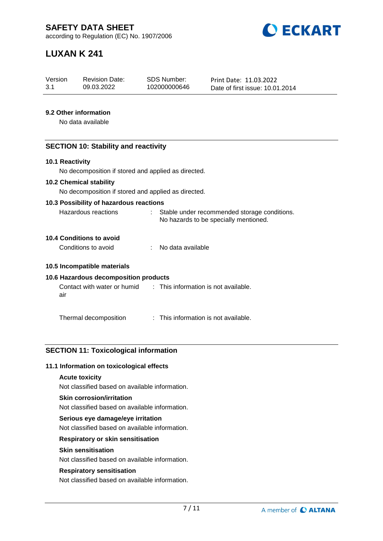

# **LUXAN K 241**

| Version | <b>Revision Date:</b> | SDS Number:  | Print Date: 11.03.2022          |
|---------|-----------------------|--------------|---------------------------------|
| -3.1    | 09.03.2022            | 102000000646 | Date of first issue: 10.01.2014 |

### **9.2 Other information**

No data available

### **SECTION 10: Stability and reactivity**

#### **10.1 Reactivity**

No decomposition if stored and applied as directed.

#### **10.2 Chemical stability**

No decomposition if stored and applied as directed.

#### **10.3 Possibility of hazardous reactions**

| Hazardous reactions | Stable under recommended storage conditions. |
|---------------------|----------------------------------------------|
|                     | No hazards to be specially mentioned.        |

# **10.4 Conditions to avoid**

Conditions to avoid : No data available

#### **10.5 Incompatible materials**

#### **10.6 Hazardous decomposition products**

Contact with water or humid air : This information is not available.

Thermal decomposition : This information is not available.

# **SECTION 11: Toxicological information**

#### **11.1 Information on toxicological effects**

#### **Acute toxicity**

Not classified based on available information.

#### **Skin corrosion/irritation**

Not classified based on available information.

#### **Serious eye damage/eye irritation**

Not classified based on available information.

# **Respiratory or skin sensitisation**

#### **Skin sensitisation**

Not classified based on available information.

#### **Respiratory sensitisation**

Not classified based on available information.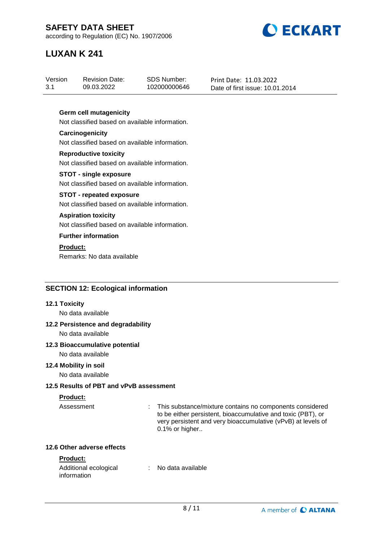

# **LUXAN K 241**

# **Germ cell mutagenicity**

Not classified based on available information.

#### **Carcinogenicity** Not classified based on available information.

**Reproductive toxicity** Not classified based on available information.

#### **STOT - single exposure** Not classified based on available information.

# **STOT - repeated exposure**

Not classified based on available information.

### **Aspiration toxicity**

Not classified based on available information.

# **Further information**

# **Product:**

Remarks: No data available

# **SECTION 12: Ecological information**

#### **12.1 Toxicity**

No data available

# **12.2 Persistence and degradability**

No data available

# **12.3 Bioaccumulative potential**

No data available

#### **12.4 Mobility in soil**

No data available

# **12.5 Results of PBT and vPvB assessment**

# **Product:**

Assessment : This substance/mixture contains no components considered to be either persistent, bioaccumulative and toxic (PBT), or very persistent and very bioaccumulative (vPvB) at levels of 0.1% or higher..

### **12.6 Other adverse effects**

# **Product:**

| Additional ecological | No data available |  |
|-----------------------|-------------------|--|
| information           |                   |  |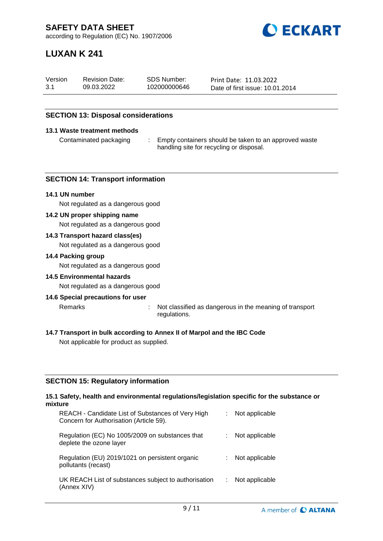

# **LUXAN K 241**

| Version | <b>Revision Date:</b> | SDS Number:  | Print Date: 11.03.2022          |
|---------|-----------------------|--------------|---------------------------------|
| 3.1     | 09.03.2022            | 102000000646 | Date of first issue: 10.01.2014 |

# **SECTION 13: Disposal considerations**

#### **13.1 Waste treatment methods**

Contaminated packaging : Empty containers should be taken to an approved waste handling site for recycling or disposal.

#### **SECTION 14: Transport information**

#### **14.1 UN number**

Not regulated as a dangerous good

#### **14.2 UN proper shipping name**

Not regulated as a dangerous good

#### **14.3 Transport hazard class(es)**

Not regulated as a dangerous good

#### **14.4 Packing group**

Not regulated as a dangerous good

#### **14.5 Environmental hazards**

Not regulated as a dangerous good

#### **14.6 Special precautions for user**

Remarks : Not classified as dangerous in the meaning of transport

- regulations.
- **14.7 Transport in bulk according to Annex II of Marpol and the IBC Code**

Not applicable for product as supplied.

#### **SECTION 15: Regulatory information**

#### **15.1 Safety, health and environmental regulations/legislation specific for the substance or mixture**

| REACH - Candidate List of Substances of Very High<br>Concern for Authorisation (Article 59). | Not applicable |
|----------------------------------------------------------------------------------------------|----------------|
| Regulation (EC) No 1005/2009 on substances that<br>deplete the ozone layer                   | Not applicable |
| Regulation (EU) 2019/1021 on persistent organic<br>pollutants (recast)                       | Not applicable |
| UK REACH List of substances subject to authorisation<br>(Annex XIV)                          | Not applicable |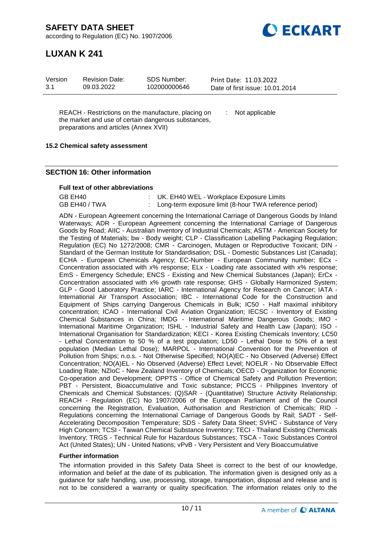**DECKART** 

according to Regulation (EC) No. 1907/2006

# **LUXAN K 241**

| SDS Number:<br>Version<br><b>Revision Date:</b><br>3.1<br>102000000646<br>09.03.2022 | Print Date: 11.03.2022<br>Date of first issue: 10.01.2014 |
|--------------------------------------------------------------------------------------|-----------------------------------------------------------|
|--------------------------------------------------------------------------------------|-----------------------------------------------------------|

REACH - Restrictions on the manufacture, placing on the market and use of certain dangerous substances, preparations and articles (Annex XVII)

: Not applicable

### **15.2 Chemical safety assessment**

### **SECTION 16: Other information**

#### **Full text of other abbreviations**

| GB EH40       | : UK. EH40 WEL - Workplace Exposure Limits               |
|---------------|----------------------------------------------------------|
| GB EH40 / TWA | : Long-term exposure limit (8-hour TWA reference period) |

ADN - European Agreement concerning the International Carriage of Dangerous Goods by Inland Waterways; ADR - European Agreement concerning the International Carriage of Dangerous Goods by Road; AIIC - Australian Inventory of Industrial Chemicals; ASTM - American Society for the Testing of Materials; bw - Body weight; CLP - Classification Labelling Packaging Regulation; Regulation (EC) No 1272/2008; CMR - Carcinogen, Mutagen or Reproductive Toxicant; DIN - Standard of the German Institute for Standardisation; DSL - Domestic Substances List (Canada); ECHA - European Chemicals Agency; EC-Number - European Community number; ECx -Concentration associated with x% response; ELx - Loading rate associated with x% response; EmS - Emergency Schedule; ENCS - Existing and New Chemical Substances (Japan); ErCx - Concentration associated with x% growth rate response; GHS - Globally Harmonized System; GLP - Good Laboratory Practice; IARC - International Agency for Research on Cancer; IATA - International Air Transport Association; IBC - International Code for the Construction and Equipment of Ships carrying Dangerous Chemicals in Bulk; IC50 - Half maximal inhibitory concentration; ICAO - International Civil Aviation Organization; IECSC - Inventory of Existing Chemical Substances in China; IMDG - International Maritime Dangerous Goods; IMO - International Maritime Organization; ISHL - Industrial Safety and Health Law (Japan); ISO - International Organisation for Standardization; KECI - Korea Existing Chemicals Inventory; LC50 - Lethal Concentration to 50 % of a test population; LD50 - Lethal Dose to 50% of a test population (Median Lethal Dose); MARPOL - International Convention for the Prevention of Pollution from Ships; n.o.s. - Not Otherwise Specified; NO(A)EC - No Observed (Adverse) Effect Concentration; NO(A)EL - No Observed (Adverse) Effect Level; NOELR - No Observable Effect Loading Rate; NZIoC - New Zealand Inventory of Chemicals; OECD - Organization for Economic Co-operation and Development; OPPTS - Office of Chemical Safety and Pollution Prevention; PBT - Persistent, Bioaccumulative and Toxic substance; PICCS - Philippines Inventory of Chemicals and Chemical Substances; (Q)SAR - (Quantitative) Structure Activity Relationship; REACH - Regulation (EC) No 1907/2006 of the European Parliament and of the Council concerning the Registration, Evaluation, Authorisation and Restriction of Chemicals; RID - Regulations concerning the International Carriage of Dangerous Goods by Rail; SADT - Self-Accelerating Decomposition Temperature; SDS - Safety Data Sheet; SVHC - Substance of Very High Concern; TCSI - Taiwan Chemical Substance Inventory; TECI - Thailand Existing Chemicals Inventory; TRGS - Technical Rule for Hazardous Substances; TSCA - Toxic Substances Control Act (United States); UN - United Nations; vPvB - Very Persistent and Very Bioaccumulative

#### **Further information**

The information provided in this Safety Data Sheet is correct to the best of our knowledge, information and belief at the date of its publication. The information given is designed only as a guidance for safe handling, use, processing, storage, transportation, disposal and release and is not to be considered a warranty or quality specification. The information relates only to the